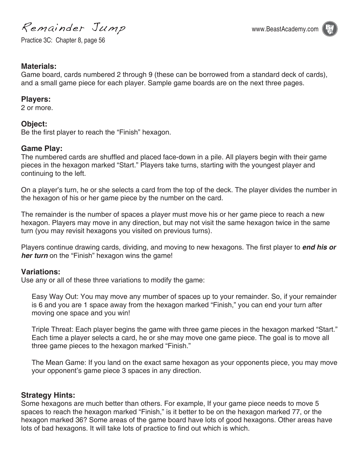Remainder Jump www.BeastAcademy.com

Practice 3C: Chapter 8, page 56



# **Materials:**

Game board, cards numbered 2 through 9 (these can be borrowed from a standard deck of cards), and a small game piece for each player. Sample game boards are on the next three pages.

### **Players:**

2 or more.

### **Object:**

Be the first player to reach the "Finish" hexagon.

### **Game Play:**

The numbered cards are shuffled and placed face-down in a pile. All players begin with their game pieces in the hexagon marked "Start." Players take turns, starting with the youngest player and continuing to the left.

On a player's turn, he or she selects a card from the top of the deck. The player divides the number in the hexagon of his or her game piece by the number on the card.

The remainder is the number of spaces a player must move his or her game piece to reach a new hexagon. Players may move in any direction, but may not visit the same hexagon twice in the same turn (you may revisit hexagons you visited on previous turns).

Players continue drawing cards, dividing, and moving to new hexagons. The first player to **end his or** *her turn* on the "Finish" hexagon wins the game!

#### **Variations:**

Use any or all of these three variations to modify the game:

Easy Way Out: You may move any mumber of spaces up to your remainder. So, if your remainder is 6 and you are 1 space away from the hexagon marked "Finish," you can end your turn after moving one space and you win!

Triple Threat: Each player begins the game with three game pieces in the hexagon marked "Start." Each time a player selects a card, he or she may move one game piece. The goal is to move all three game pieces to the hexagon marked "Finish."

The Mean Game: If you land on the exact same hexagon as your opponents piece, you may move your opponent's game piece 3 spaces in any direction.

# **Strategy Hints:**

Some hexagons are much better than others. For example, If your game piece needs to move 5 spaces to reach the hexagon marked "Finish," is it better to be on the hexagon marked 77, or the hexagon marked 36? Some areas of the game board have lots of good hexagons. Other areas have lots of bad hexagons. It will take lots of practice to find out which is which.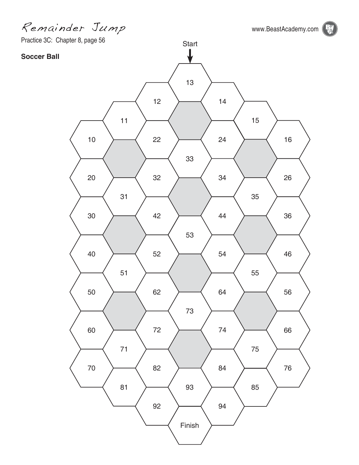Remainder Jump www.BeastAcademy.com

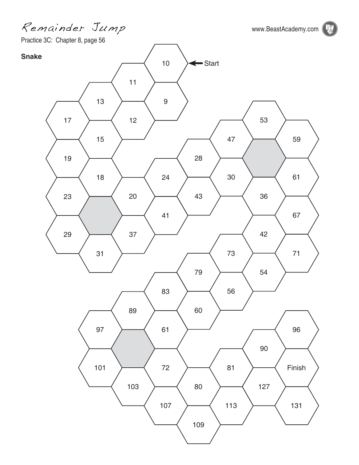Remainder Jump www.BeastAcademy.com

**B** 

Practice 3C: Chapter 8, page 56

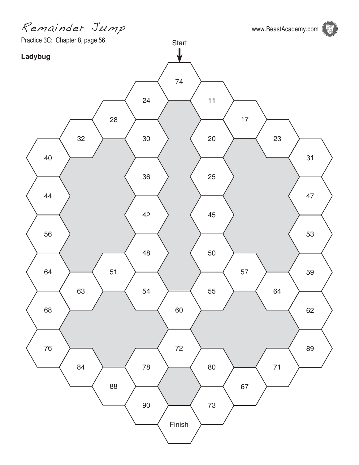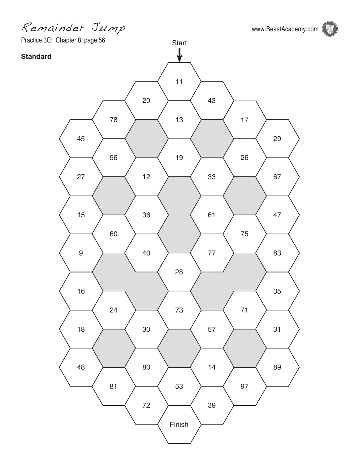Remainder Jump www.BeastAcademy.com